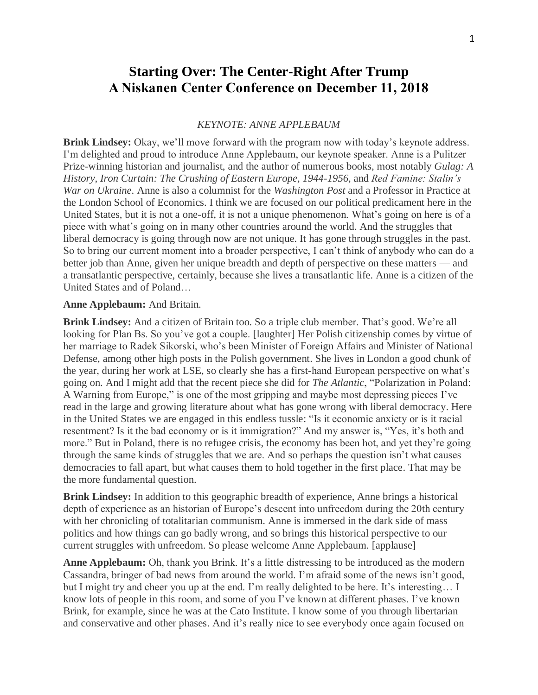# **Starting Over: The Center-Right After Trump A Niskanen Center Conference on December 11, 2018**

### *KEYNOTE: ANNE APPLEBAUM*

**Brink Lindsey:** Okay, we'll move forward with the program now with today's keynote address. I'm delighted and proud to introduce Anne Applebaum, our keynote speaker. Anne is a Pulitzer Prize-winning historian and journalist, and the author of numerous books, most notably *Gulag: A History*, *Iron Curtain: The Crushing of Eastern Europe, 1944-1956*, and *Red Famine: Stalin's War on Ukraine*. Anne is also a columnist for the *Washington Post* and a Professor in Practice at the London School of Economics. I think we are focused on our political predicament here in the United States, but it is not a one-off, it is not a unique phenomenon. What's going on here is of a piece with what's going on in many other countries around the world. And the struggles that liberal democracy is going through now are not unique. It has gone through struggles in the past. So to bring our current moment into a broader perspective, I can't think of anybody who can do a better job than Anne, given her unique breadth and depth of perspective on these matters — and a transatlantic perspective, certainly, because she lives a transatlantic life. Anne is a citizen of the United States and of Poland…

### **Anne Applebaum:** And Britain.

**Brink Lindsey:** And a citizen of Britain too. So a triple club member. That's good. We're all looking for Plan Bs. So you've got a couple. [laughter] Her Polish citizenship comes by virtue of her marriage to Radek Sikorski, who's been Minister of Foreign Affairs and Minister of National Defense, among other high posts in the Polish government. She lives in London a good chunk of the year, during her work at LSE, so clearly she has a first-hand European perspective on what's going on. And I might add that the recent piece she did for *The Atlantic*, "Polarization in Poland: A Warning from Europe," is one of the most gripping and maybe most depressing pieces I've read in the large and growing literature about what has gone wrong with liberal democracy. Here in the United States we are engaged in this endless tussle: "Is it economic anxiety or is it racial resentment? Is it the bad economy or is it immigration?" And my answer is, "Yes, it's both and more." But in Poland, there is no refugee crisis, the economy has been hot, and yet they're going through the same kinds of struggles that we are. And so perhaps the question isn't what causes democracies to fall apart, but what causes them to hold together in the first place. That may be the more fundamental question.

**Brink Lindsey:** In addition to this geographic breadth of experience, Anne brings a historical depth of experience as an historian of Europe's descent into unfreedom during the 20th century with her chronicling of totalitarian communism. Anne is immersed in the dark side of mass politics and how things can go badly wrong, and so brings this historical perspective to our current struggles with unfreedom. So please welcome Anne Applebaum. [applause]

**Anne Applebaum:** Oh, thank you Brink. It's a little distressing to be introduced as the modern Cassandra, bringer of bad news from around the world. I'm afraid some of the news isn't good, but I might try and cheer you up at the end. I'm really delighted to be here. It's interesting... I know lots of people in this room, and some of you I've known at different phases. I've known Brink, for example, since he was at the Cato Institute. I know some of you through libertarian and conservative and other phases. And it's really nice to see everybody once again focused on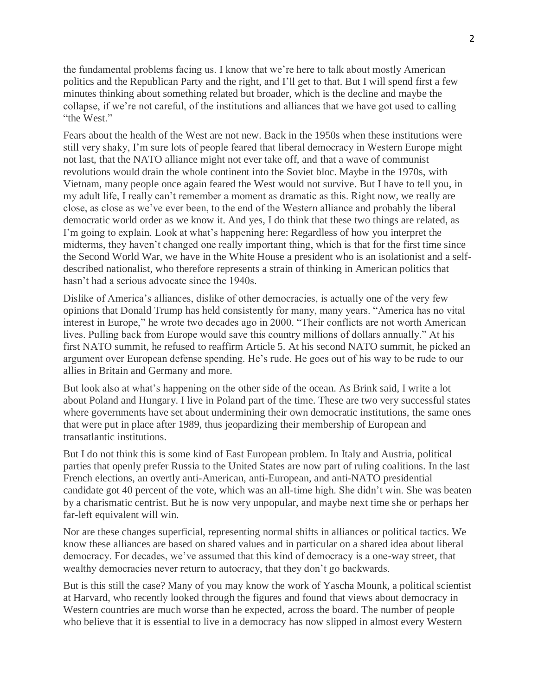the fundamental problems facing us. I know that we're here to talk about mostly American politics and the Republican Party and the right, and I'll get to that. But I will spend first a few minutes thinking about something related but broader, which is the decline and maybe the collapse, if we're not careful, of the institutions and alliances that we have got used to calling "the West."

Fears about the health of the West are not new. Back in the 1950s when these institutions were still very shaky, I'm sure lots of people feared that liberal democracy in Western Europe might not last, that the NATO alliance might not ever take off, and that a wave of communist revolutions would drain the whole continent into the Soviet bloc. Maybe in the 1970s, with Vietnam, many people once again feared the West would not survive. But I have to tell you, in my adult life, I really can't remember a moment as dramatic as this. Right now, we really are close, as close as we've ever been, to the end of the Western alliance and probably the liberal democratic world order as we know it. And yes, I do think that these two things are related, as I'm going to explain. Look at what's happening here: Regardless of how you interpret the midterms, they haven't changed one really important thing, which is that for the first time since the Second World War, we have in the White House a president who is an isolationist and a selfdescribed nationalist, who therefore represents a strain of thinking in American politics that hasn't had a serious advocate since the 1940s.

Dislike of America's alliances, dislike of other democracies, is actually one of the very few opinions that Donald Trump has held consistently for many, many years. "America has no vital interest in Europe," he wrote two decades ago in 2000. "Their conflicts are not worth American lives. Pulling back from Europe would save this country millions of dollars annually." At his first NATO summit, he refused to reaffirm Article 5. At his second NATO summit, he picked an argument over European defense spending. He's rude. He goes out of his way to be rude to our allies in Britain and Germany and more.

But look also at what's happening on the other side of the ocean. As Brink said, I write a lot about Poland and Hungary. I live in Poland part of the time. These are two very successful states where governments have set about undermining their own democratic institutions, the same ones that were put in place after 1989, thus jeopardizing their membership of European and transatlantic institutions.

But I do not think this is some kind of East European problem. In Italy and Austria, political parties that openly prefer Russia to the United States are now part of ruling coalitions. In the last French elections, an overtly anti-American, anti-European, and anti-NATO presidential candidate got 40 percent of the vote, which was an all-time high. She didn't win. She was beaten by a charismatic centrist. But he is now very unpopular, and maybe next time she or perhaps her far-left equivalent will win.

Nor are these changes superficial, representing normal shifts in alliances or political tactics. We know these alliances are based on shared values and in particular on a shared idea about liberal democracy. For decades, we've assumed that this kind of democracy is a one-way street, that wealthy democracies never return to autocracy, that they don't go backwards.

But is this still the case? Many of you may know the work of Yascha Mounk, a political scientist at Harvard, who recently looked through the figures and found that views about democracy in Western countries are much worse than he expected, across the board. The number of people who believe that it is essential to live in a democracy has now slipped in almost every Western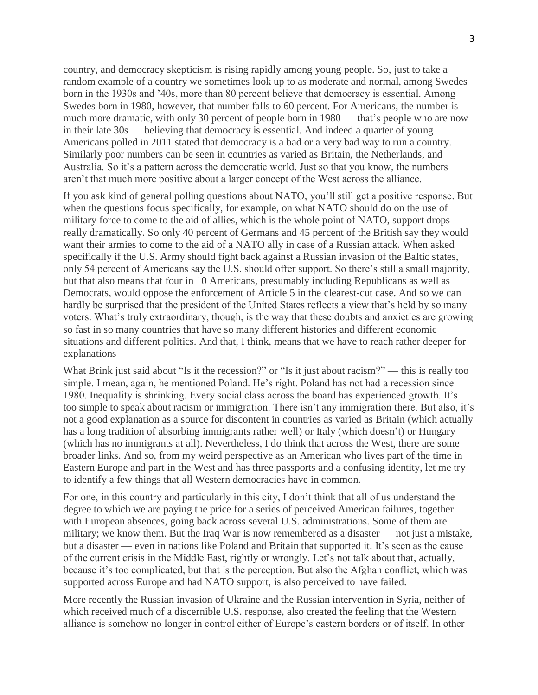country, and democracy skepticism is rising rapidly among young people. So, just to take a random example of a country we sometimes look up to as moderate and normal, among Swedes born in the 1930s and '40s, more than 80 percent believe that democracy is essential. Among Swedes born in 1980, however, that number falls to 60 percent. For Americans, the number is much more dramatic, with only 30 percent of people born in 1980 — that's people who are now in their late 30s — believing that democracy is essential. And indeed a quarter of young Americans polled in 2011 stated that democracy is a bad or a very bad way to run a country. Similarly poor numbers can be seen in countries as varied as Britain, the Netherlands, and Australia. So it's a pattern across the democratic world. Just so that you know, the numbers aren't that much more positive about a larger concept of the West across the alliance.

If you ask kind of general polling questions about NATO, you'll still get a positive response. But when the questions focus specifically, for example, on what NATO should do on the use of military force to come to the aid of allies, which is the whole point of NATO, support drops really dramatically. So only 40 percent of Germans and 45 percent of the British say they would want their armies to come to the aid of a NATO ally in case of a Russian attack. When asked specifically if the U.S. Army should fight back against a Russian invasion of the Baltic states, only 54 percent of Americans say the U.S. should offer support. So there's still a small majority, but that also means that four in 10 Americans, presumably including Republicans as well as Democrats, would oppose the enforcement of Article 5 in the clearest-cut case. And so we can hardly be surprised that the president of the United States reflects a view that's held by so many voters. What's truly extraordinary, though, is the way that these doubts and anxieties are growing so fast in so many countries that have so many different histories and different economic situations and different politics. And that, I think, means that we have to reach rather deeper for explanations

What Brink just said about "Is it the recession?" or "Is it just about racism?" — this is really too simple. I mean, again, he mentioned Poland. He's right. Poland has not had a recession since 1980. Inequality is shrinking. Every social class across the board has experienced growth. It's too simple to speak about racism or immigration. There isn't any immigration there. But also, it's not a good explanation as a source for discontent in countries as varied as Britain (which actually has a long tradition of absorbing immigrants rather well) or Italy (which doesn't) or Hungary (which has no immigrants at all). Nevertheless, I do think that across the West, there are some broader links. And so, from my weird perspective as an American who lives part of the time in Eastern Europe and part in the West and has three passports and a confusing identity, let me try to identify a few things that all Western democracies have in common.

For one, in this country and particularly in this city, I don't think that all of us understand the degree to which we are paying the price for a series of perceived American failures, together with European absences, going back across several U.S. administrations. Some of them are military; we know them. But the Iraq War is now remembered as a disaster — not just a mistake, but a disaster — even in nations like Poland and Britain that supported it. It's seen as the cause of the current crisis in the Middle East, rightly or wrongly. Let's not talk about that, actually, because it's too complicated, but that is the perception. But also the Afghan conflict, which was supported across Europe and had NATO support, is also perceived to have failed.

More recently the Russian invasion of Ukraine and the Russian intervention in Syria, neither of which received much of a discernible U.S. response, also created the feeling that the Western alliance is somehow no longer in control either of Europe's eastern borders or of itself. In other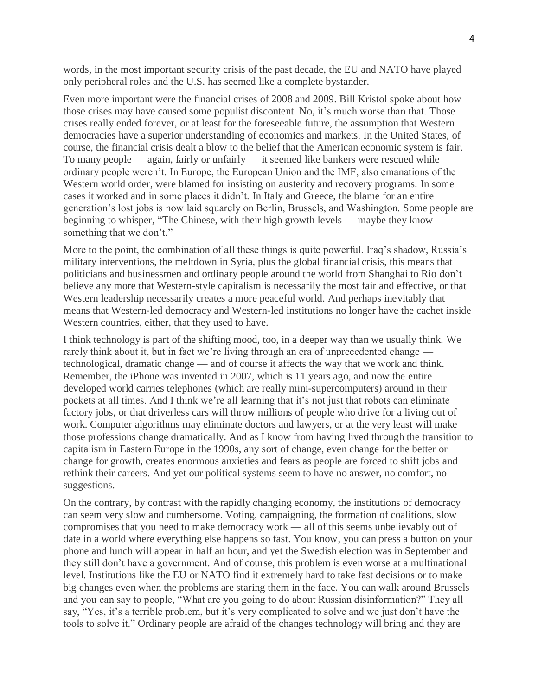words, in the most important security crisis of the past decade, the EU and NATO have played only peripheral roles and the U.S. has seemed like a complete bystander.

Even more important were the financial crises of 2008 and 2009. Bill Kristol spoke about how those crises may have caused some populist discontent. No, it's much worse than that. Those crises really ended forever, or at least for the foreseeable future, the assumption that Western democracies have a superior understanding of economics and markets. In the United States, of course, the financial crisis dealt a blow to the belief that the American economic system is fair. To many people — again, fairly or unfairly — it seemed like bankers were rescued while ordinary people weren't. In Europe, the European Union and the IMF, also emanations of the Western world order, were blamed for insisting on austerity and recovery programs. In some cases it worked and in some places it didn't. In Italy and Greece, the blame for an entire generation's lost jobs is now laid squarely on Berlin, Brussels, and Washington. Some people are beginning to whisper, "The Chinese, with their high growth levels — maybe they know something that we don't."

More to the point, the combination of all these things is quite powerful. Iraq's shadow, Russia's military interventions, the meltdown in Syria, plus the global financial crisis, this means that politicians and businessmen and ordinary people around the world from Shanghai to Rio don't believe any more that Western-style capitalism is necessarily the most fair and effective, or that Western leadership necessarily creates a more peaceful world. And perhaps inevitably that means that Western-led democracy and Western-led institutions no longer have the cachet inside Western countries, either, that they used to have.

I think technology is part of the shifting mood, too, in a deeper way than we usually think. We rarely think about it, but in fact we're living through an era of unprecedented change technological, dramatic change — and of course it affects the way that we work and think. Remember, the iPhone was invented in 2007, which is 11 years ago, and now the entire developed world carries telephones (which are really mini-supercomputers) around in their pockets at all times. And I think we're all learning that it's not just that robots can eliminate factory jobs, or that driverless cars will throw millions of people who drive for a living out of work. Computer algorithms may eliminate doctors and lawyers, or at the very least will make those professions change dramatically. And as I know from having lived through the transition to capitalism in Eastern Europe in the 1990s, any sort of change, even change for the better or change for growth, creates enormous anxieties and fears as people are forced to shift jobs and rethink their careers. And yet our political systems seem to have no answer, no comfort, no suggestions.

On the contrary, by contrast with the rapidly changing economy, the institutions of democracy can seem very slow and cumbersome. Voting, campaigning, the formation of coalitions, slow compromises that you need to make democracy work — all of this seems unbelievably out of date in a world where everything else happens so fast. You know, you can press a button on your phone and lunch will appear in half an hour, and yet the Swedish election was in September and they still don't have a government. And of course, this problem is even worse at a multinational level. Institutions like the EU or NATO find it extremely hard to take fast decisions or to make big changes even when the problems are staring them in the face. You can walk around Brussels and you can say to people, "What are you going to do about Russian disinformation?" They all say, "Yes, it's a terrible problem, but it's very complicated to solve and we just don't have the tools to solve it." Ordinary people are afraid of the changes technology will bring and they are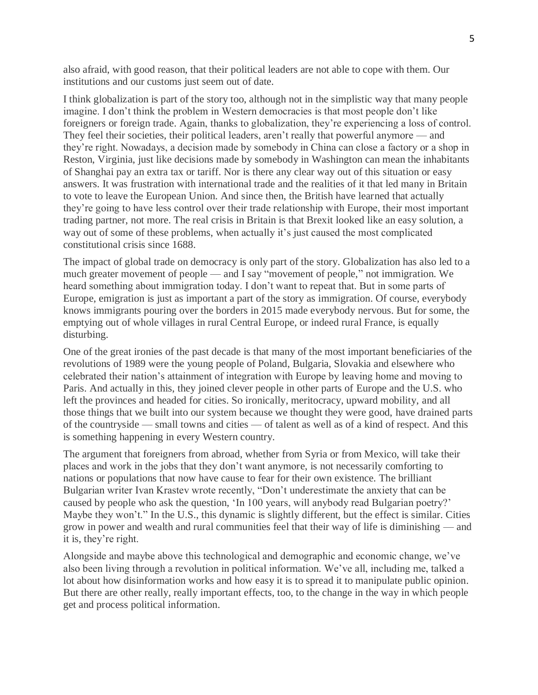also afraid, with good reason, that their political leaders are not able to cope with them. Our institutions and our customs just seem out of date.

I think globalization is part of the story too, although not in the simplistic way that many people imagine. I don't think the problem in Western democracies is that most people don't like foreigners or foreign trade. Again, thanks to globalization, they're experiencing a loss of control. They feel their societies, their political leaders, aren't really that powerful anymore — and they're right. Nowadays, a decision made by somebody in China can close a factory or a shop in Reston, Virginia, just like decisions made by somebody in Washington can mean the inhabitants of Shanghai pay an extra tax or tariff. Nor is there any clear way out of this situation or easy answers. It was frustration with international trade and the realities of it that led many in Britain to vote to leave the European Union. And since then, the British have learned that actually they're going to have less control over their trade relationship with Europe, their most important trading partner, not more. The real crisis in Britain is that Brexit looked like an easy solution, a way out of some of these problems, when actually it's just caused the most complicated constitutional crisis since 1688.

The impact of global trade on democracy is only part of the story. Globalization has also led to a much greater movement of people — and I say "movement of people," not immigration. We heard something about immigration today. I don't want to repeat that. But in some parts of Europe, emigration is just as important a part of the story as immigration. Of course, everybody knows immigrants pouring over the borders in 2015 made everybody nervous. But for some, the emptying out of whole villages in rural Central Europe, or indeed rural France, is equally disturbing.

One of the great ironies of the past decade is that many of the most important beneficiaries of the revolutions of 1989 were the young people of Poland, Bulgaria, Slovakia and elsewhere who celebrated their nation's attainment of integration with Europe by leaving home and moving to Paris. And actually in this, they joined clever people in other parts of Europe and the U.S. who left the provinces and headed for cities. So ironically, meritocracy, upward mobility, and all those things that we built into our system because we thought they were good, have drained parts of the countryside — small towns and cities — of talent as well as of a kind of respect. And this is something happening in every Western country.

The argument that foreigners from abroad, whether from Syria or from Mexico, will take their places and work in the jobs that they don't want anymore, is not necessarily comforting to nations or populations that now have cause to fear for their own existence. The brilliant Bulgarian writer Ivan Krastev wrote recently, "Don't underestimate the anxiety that can be caused by people who ask the question, 'In 100 years, will anybody read Bulgarian poetry?' Maybe they won't." In the U.S., this dynamic is slightly different, but the effect is similar. Cities grow in power and wealth and rural communities feel that their way of life is diminishing — and it is, they're right.

Alongside and maybe above this technological and demographic and economic change, we've also been living through a revolution in political information. We've all, including me, talked a lot about how disinformation works and how easy it is to spread it to manipulate public opinion. But there are other really, really important effects, too, to the change in the way in which people get and process political information.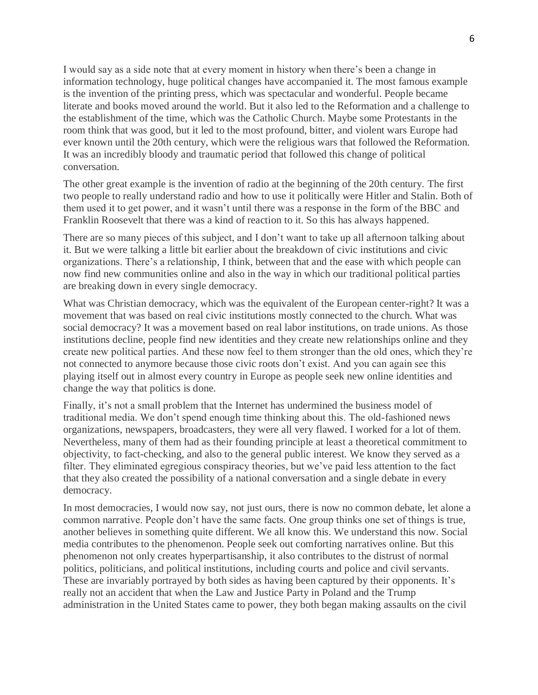I would say as a side note that at every moment in history when there's been a change in information technology, huge political changes have accompanied it. The most famous example is the invention of the printing press, which was spectacular and wonderful. People became literate and books moved around the world. But it also led to the Reformation and a challenge to the establishment of the time, which was the Catholic Church. Maybe some Protestants in the room think that was good, but it led to the most profound, bitter, and violent wars Europe had ever known until the 20th century, which were the religious wars that followed the Reformation. It was an incredibly bloody and traumatic period that followed this change of political conversation.

The other great example is the invention of radio at the beginning of the 20th century. The first two people to really understand radio and how to use it politically were Hitler and Stalin. Both of them used it to get power, and it wasn't until there was a response in the form of the BBC and Franklin Roosevelt that there was a kind of reaction to it. So this has always happened.

There are so many pieces of this subject, and I don't want to take up all afternoon talking about it. But we were talking a little bit earlier about the breakdown of civic institutions and civic organizations. There's a relationship, I think, between that and the ease with which people can now find new communities online and also in the way in which our traditional political parties are breaking down in every single democracy.

What was Christian democracy, which was the equivalent of the European center-right? It was a movement that was based on real civic institutions mostly connected to the church. What was social democracy? It was a movement based on real labor institutions, on trade unions. As those institutions decline, people find new identities and they create new relationships online and they create new political parties. And these now feel to them stronger than the old ones, which they're not connected to anymore because those civic roots don't exist. And you can again see this playing itself out in almost every country in Europe as people seek new online identities and change the way that politics is done.

Finally, it's not a small problem that the Internet has undermined the business model of traditional media. We don't spend enough time thinking about this. The old-fashioned news organizations, newspapers, broadcasters, they were all very flawed. I worked for a lot of them. Nevertheless, many of them had as their founding principle at least a theoretical commitment to objectivity, to fact-checking, and also to the general public interest. We know they served as a filter. They eliminated egregious conspiracy theories, but we've paid less attention to the fact that they also created the possibility of a national conversation and a single debate in every democracy.

In most democracies, I would now say, not just ours, there is now no common debate, let alone a common narrative. People don't have the same facts. One group thinks one set of things is true, another believes in something quite different. We all know this. We understand this now. Social media contributes to the phenomenon. People seek out comforting narratives online. But this phenomenon not only creates hyperpartisanship, it also contributes to the distrust of normal politics, politicians, and political institutions, including courts and police and civil servants. These are invariably portrayed by both sides as having been captured by their opponents. It's really not an accident that when the Law and Justice Party in Poland and the Trump administration in the United States came to power, they both began making assaults on the civil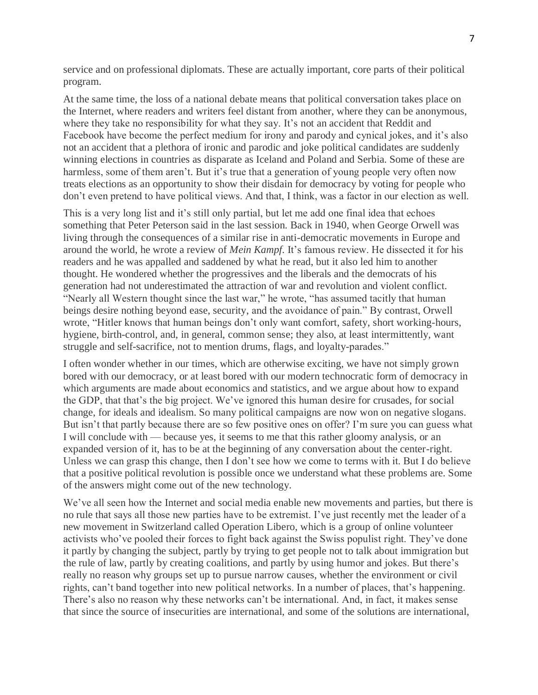service and on professional diplomats. These are actually important, core parts of their political program.

At the same time, the loss of a national debate means that political conversation takes place on the Internet, where readers and writers feel distant from another, where they can be anonymous, where they take no responsibility for what they say. It's not an accident that Reddit and Facebook have become the perfect medium for irony and parody and cynical jokes, and it's also not an accident that a plethora of ironic and parodic and joke political candidates are suddenly winning elections in countries as disparate as Iceland and Poland and Serbia. Some of these are harmless, some of them aren't. But it's true that a generation of young people very often now treats elections as an opportunity to show their disdain for democracy by voting for people who don't even pretend to have political views. And that, I think, was a factor in our election as well.

This is a very long list and it's still only partial, but let me add one final idea that echoes something that Peter Peterson said in the last session. Back in 1940, when George Orwell was living through the consequences of a similar rise in anti-democratic movements in Europe and around the world, he wrote a review of *Mein Kampf*. It's famous review. He dissected it for his readers and he was appalled and saddened by what he read, but it also led him to another thought. He wondered whether the progressives and the liberals and the democrats of his generation had not underestimated the attraction of war and revolution and violent conflict. "Nearly all Western thought since the last war," he wrote, "has assumed tacitly that human beings desire nothing beyond ease, security, and the avoidance of pain." By contrast, Orwell wrote, "Hitler knows that human beings don't only want comfort, safety, short working-hours, hygiene, birth-control, and, in general, common sense; they also, at least intermittently, want struggle and self-sacrifice, not to mention drums, flags, and loyalty-parades."

I often wonder whether in our times, which are otherwise exciting, we have not simply grown bored with our democracy, or at least bored with our modern technocratic form of democracy in which arguments are made about economics and statistics, and we argue about how to expand the GDP, that that's the big project. We've ignored this human desire for crusades, for social change, for ideals and idealism. So many political campaigns are now won on negative slogans. But isn't that partly because there are so few positive ones on offer? I'm sure you can guess what I will conclude with — because yes, it seems to me that this rather gloomy analysis, or an expanded version of it, has to be at the beginning of any conversation about the center-right. Unless we can grasp this change, then I don't see how we come to terms with it. But I do believe that a positive political revolution is possible once we understand what these problems are. Some of the answers might come out of the new technology.

We've all seen how the Internet and social media enable new movements and parties, but there is no rule that says all those new parties have to be extremist. I've just recently met the leader of a new movement in Switzerland called Operation Libero, which is a group of online volunteer activists who've pooled their forces to fight back against the Swiss populist right. They've done it partly by changing the subject, partly by trying to get people not to talk about immigration but the rule of law, partly by creating coalitions, and partly by using humor and jokes. But there's really no reason why groups set up to pursue narrow causes, whether the environment or civil rights, can't band together into new political networks. In a number of places, that's happening. There's also no reason why these networks can't be international. And, in fact, it makes sense that since the source of insecurities are international, and some of the solutions are international,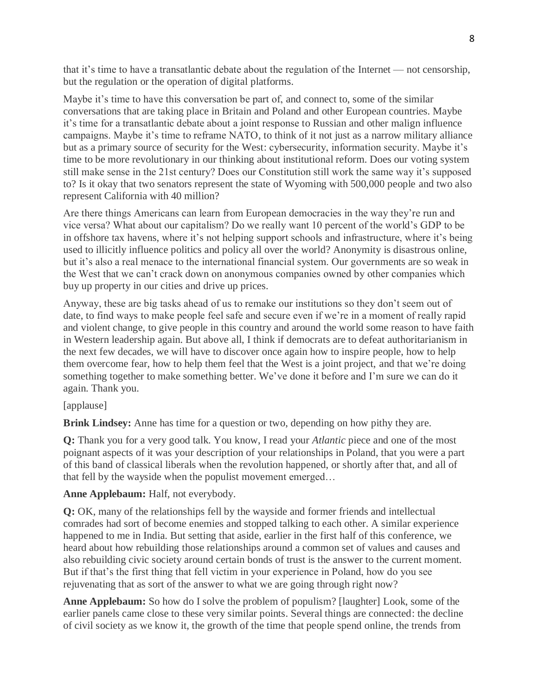that it's time to have a transatlantic debate about the regulation of the Internet — not censorship, but the regulation or the operation of digital platforms.

Maybe it's time to have this conversation be part of, and connect to, some of the similar conversations that are taking place in Britain and Poland and other European countries. Maybe it's time for a transatlantic debate about a joint response to Russian and other malign influence campaigns. Maybe it's time to reframe NATO, to think of it not just as a narrow military alliance but as a primary source of security for the West: cybersecurity, information security. Maybe it's time to be more revolutionary in our thinking about institutional reform. Does our voting system still make sense in the 21st century? Does our Constitution still work the same way it's supposed to? Is it okay that two senators represent the state of Wyoming with 500,000 people and two also represent California with 40 million?

Are there things Americans can learn from European democracies in the way they're run and vice versa? What about our capitalism? Do we really want 10 percent of the world's GDP to be in offshore tax havens, where it's not helping support schools and infrastructure, where it's being used to illicitly influence politics and policy all over the world? Anonymity is disastrous online, but it's also a real menace to the international financial system. Our governments are so weak in the West that we can't crack down on anonymous companies owned by other companies which buy up property in our cities and drive up prices.

Anyway, these are big tasks ahead of us to remake our institutions so they don't seem out of date, to find ways to make people feel safe and secure even if we're in a moment of really rapid and violent change, to give people in this country and around the world some reason to have faith in Western leadership again. But above all, I think if democrats are to defeat authoritarianism in the next few decades, we will have to discover once again how to inspire people, how to help them overcome fear, how to help them feel that the West is a joint project, and that we're doing something together to make something better. We've done it before and I'm sure we can do it again. Thank you.

## [applause]

**Brink Lindsey:** Anne has time for a question or two, depending on how pithy they are.

**Q:** Thank you for a very good talk. You know, I read your *Atlantic* piece and one of the most poignant aspects of it was your description of your relationships in Poland, that you were a part of this band of classical liberals when the revolution happened, or shortly after that, and all of that fell by the wayside when the populist movement emerged…

## **Anne Applebaum:** Half, not everybody.

**Q:** OK, many of the relationships fell by the wayside and former friends and intellectual comrades had sort of become enemies and stopped talking to each other. A similar experience happened to me in India. But setting that aside, earlier in the first half of this conference, we heard about how rebuilding those relationships around a common set of values and causes and also rebuilding civic society around certain bonds of trust is the answer to the current moment. But if that's the first thing that fell victim in your experience in Poland, how do you see rejuvenating that as sort of the answer to what we are going through right now?

**Anne Applebaum:** So how do I solve the problem of populism? [laughter] Look, some of the earlier panels came close to these very similar points. Several things are connected: the decline of civil society as we know it, the growth of the time that people spend online, the trends from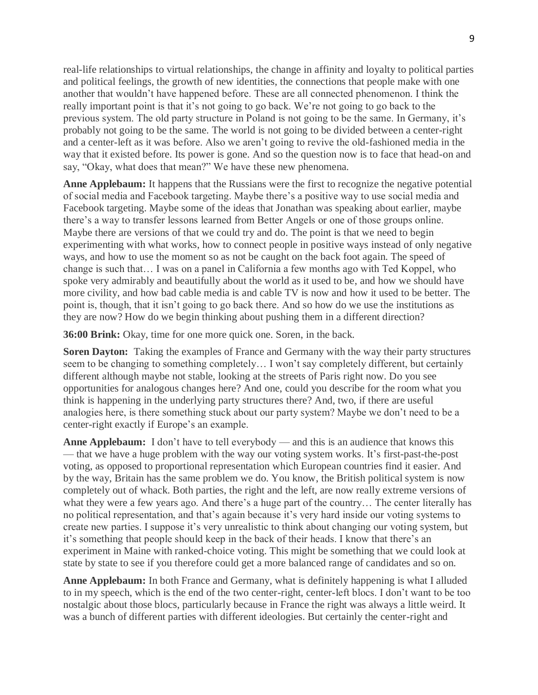real-life relationships to virtual relationships, the change in affinity and loyalty to political parties and political feelings, the growth of new identities, the connections that people make with one another that wouldn't have happened before. These are all connected phenomenon. I think the really important point is that it's not going to go back. We're not going to go back to the previous system. The old party structure in Poland is not going to be the same. In Germany, it's probably not going to be the same. The world is not going to be divided between a center-right and a center-left as it was before. Also we aren't going to revive the old-fashioned media in the way that it existed before. Its power is gone. And so the question now is to face that head-on and say, "Okay, what does that mean?" We have these new phenomena.

**Anne Applebaum:** It happens that the Russians were the first to recognize the negative potential of social media and Facebook targeting. Maybe there's a positive way to use social media and Facebook targeting. Maybe some of the ideas that Jonathan was speaking about earlier, maybe there's a way to transfer lessons learned from Better Angels or one of those groups online. Maybe there are versions of that we could try and do. The point is that we need to begin experimenting with what works, how to connect people in positive ways instead of only negative ways, and how to use the moment so as not be caught on the back foot again. The speed of change is such that… I was on a panel in California a few months ago with Ted Koppel, who spoke very admirably and beautifully about the world as it used to be, and how we should have more civility, and how bad cable media is and cable TV is now and how it used to be better. The point is, though, that it isn't going to go back there. And so how do we use the institutions as they are now? How do we begin thinking about pushing them in a different direction?

**36:00 Brink:** Okay, time for one more quick one. Soren, in the back.

**Soren Dayton:** Taking the examples of France and Germany with the way their party structures seem to be changing to something completely… I won't say completely different, but certainly different although maybe not stable, looking at the streets of Paris right now. Do you see opportunities for analogous changes here? And one, could you describe for the room what you think is happening in the underlying party structures there? And, two, if there are useful analogies here, is there something stuck about our party system? Maybe we don't need to be a center-right exactly if Europe's an example.

**Anne Applebaum:** I don't have to tell everybody — and this is an audience that knows this — that we have a huge problem with the way our voting system works. It's first-past-the-post voting, as opposed to proportional representation which European countries find it easier. And by the way, Britain has the same problem we do. You know, the British political system is now completely out of whack. Both parties, the right and the left, are now really extreme versions of what they were a few years ago. And there's a huge part of the country… The center literally has no political representation, and that's again because it's very hard inside our voting systems to create new parties. I suppose it's very unrealistic to think about changing our voting system, but it's something that people should keep in the back of their heads. I know that there's an experiment in Maine with ranked-choice voting. This might be something that we could look at state by state to see if you therefore could get a more balanced range of candidates and so on.

**Anne Applebaum:** In both France and Germany, what is definitely happening is what I alluded to in my speech, which is the end of the two center-right, center-left blocs. I don't want to be too nostalgic about those blocs, particularly because in France the right was always a little weird. It was a bunch of different parties with different ideologies. But certainly the center-right and